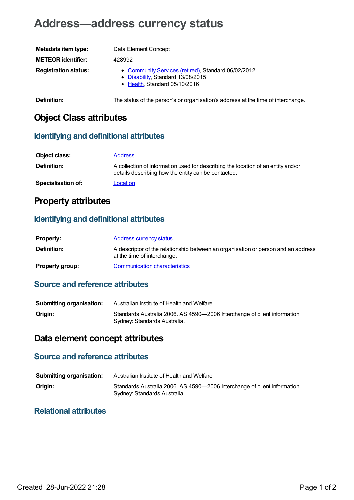# **Address—address currency status**

| Metadata item type:         | Data Element Concept                                                                                                      |
|-----------------------------|---------------------------------------------------------------------------------------------------------------------------|
| <b>METEOR identifier:</b>   | 428992                                                                                                                    |
| <b>Registration status:</b> | • Community Services (retired), Standard 06/02/2012<br>• Disability, Standard 13/08/2015<br>• Health, Standard 05/10/2016 |
| Definition:                 | The status of the person's or organisation's address at the time of interchange.                                          |

## **Object Class attributes**

#### **Identifying and definitional attributes**

| Object class:             | <b>Address</b>                                                                                                                          |
|---------------------------|-----------------------------------------------------------------------------------------------------------------------------------------|
| Definition:               | A collection of information used for describing the location of an entity and/or<br>details describing how the entity can be contacted. |
| <b>Specialisation of:</b> | Location                                                                                                                                |

### **Property attributes**

#### **Identifying and definitional attributes**

| <b>Property:</b>       | Address currency status                                                                                          |
|------------------------|------------------------------------------------------------------------------------------------------------------|
| <b>Definition:</b>     | A descriptor of the relationship between an organisation or person and an address<br>at the time of interchange. |
| <b>Property group:</b> | Communication characteristics                                                                                    |

#### **Source and reference attributes**

| <b>Submitting organisation:</b> | Australian Institute of Health and Welfare                                                                |
|---------------------------------|-----------------------------------------------------------------------------------------------------------|
| Origin:                         | Standards Australia 2006. AS 4590-2006 Interchange of client information.<br>Sydney: Standards Australia. |

## **Data element concept attributes**

#### **Source and reference attributes**

| <b>Submitting organisation:</b> | Australian Institute of Health and Welfare                                                                |
|---------------------------------|-----------------------------------------------------------------------------------------------------------|
| Origin:                         | Standards Australia 2006. AS 4590-2006 Interchange of client information.<br>Sydney: Standards Australia. |

#### **Relational attributes**